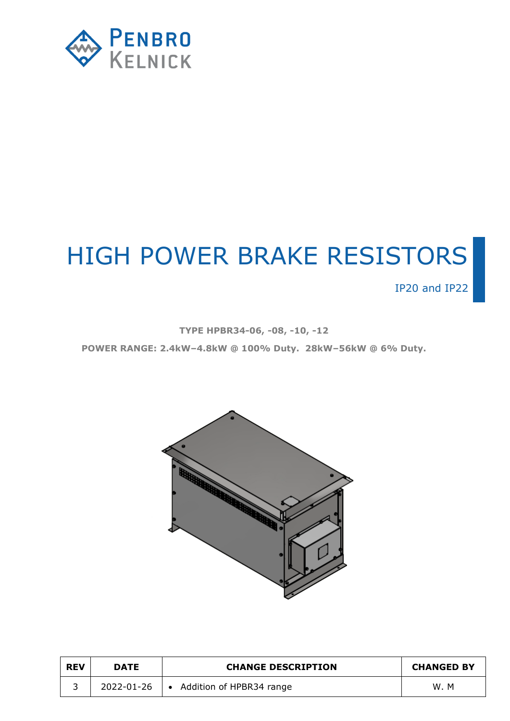

# HIGH POWER BRAKE RESISTORS

IP20 and IP22

**TYPE HPBR34-06, -08, -10, -12**

**POWER RANGE: 2.4kW–4.8kW @ 100% Duty. 28kW–56kW @ 6% Duty.**



| <b>REV</b> | <b>DATE</b> | <b>CHANGE DESCRIPTION</b>  | <b>CHANGED BY</b> |
|------------|-------------|----------------------------|-------------------|
|            | 2022-01-26  | • Addition of HPBR34 range | W.M               |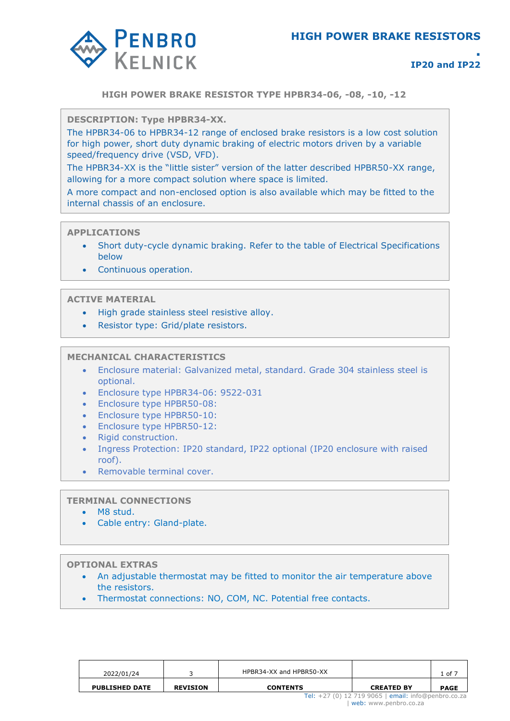

**HIGH POWER BRAKE RESISTOR TYPE HPBR34-06, -08, -10, -12**

**POWER RANGE: 7kW – 232KW DESCRIPTION: Type HPBR34-XX.** 

The HPBR34-06 to HPBR34-12 range of enclosed brake resistors is a low cost solution for high power, short duty dynamic braking of electric motors driven by a variable speed/frequency drive (VSD, VFD).

The HPBR34-XX is the "little sister" version of the latter described HPBR50-XX range, allowing for a more compact solution where space is limited.

A more compact and non-enclosed option is also available which may be fitted to the internal chassis of an enclosure.

#### **APPLICATIONS**

- Short duty-cycle dynamic braking. Refer to the table of Electrical Specifications below
- Continuous operation.

## **ACTIVE MATERIAL**

- High grade stainless steel resistive alloy.
- Resistor type: Grid/plate resistors.

# **MECHANICAL CHARACTERISTICS**

- Enclosure material: Galvanized metal, standard. Grade 304 stainless steel is optional.
- Enclosure type HPBR34-06: 9522-031
- Enclosure type HPBR50-08:
- Enclosure type HPBR50-10:
- Enclosure type HPBR50-12:
- Rigid construction.
- Ingress Protection: IP20 standard, IP22 optional (IP20 enclosure with raised roof).
- Removable terminal cover.

#### **TERMINAL CONNECTIONS**

- M8 stud.
- Cable entry: Gland-plate.

#### **OPTIONAL EXTRAS**

- An adjustable thermostat may be fitted to monitor the air temperature above the resistors.
- Thermostat connections: NO, COM, NC. Potential free contacts.

| 2022/01/24            |                 | HPBR34-XX and HPBR50-XX                                                      |                   | $1$ of $7$  |  |  |
|-----------------------|-----------------|------------------------------------------------------------------------------|-------------------|-------------|--|--|
| <b>PUBLISHED DATE</b> | <b>REVISION</b> | <b>CONTENTS</b>                                                              | <b>CREATED BY</b> | <b>PAGE</b> |  |  |
|                       |                 | Tel: +27 (0) 12 719 9065   email: info@penbro.co.za<br>web: www.penbro.co.za |                   |             |  |  |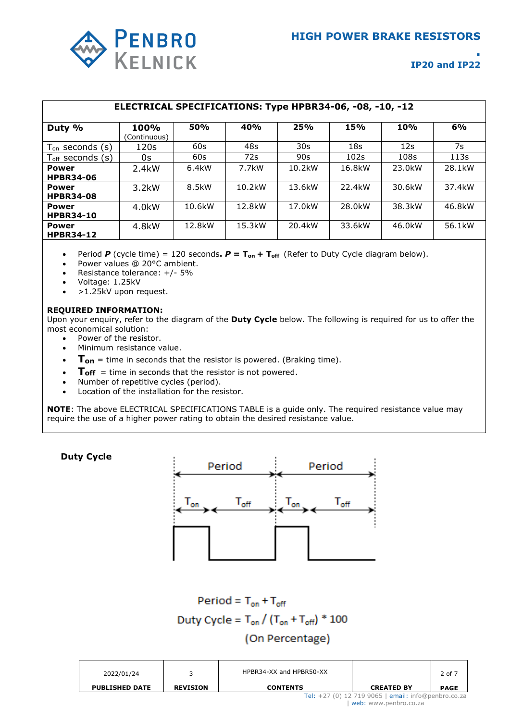

| ELECTRICAL SPECIFICATIONS: Type HPBR34-06, -08, -10, -12 |                             |        |        |                 |                     |            |                     |  |  |
|----------------------------------------------------------|-----------------------------|--------|--------|-----------------|---------------------|------------|---------------------|--|--|
| Duty %                                                   | <b>100%</b><br>(Continuous) | 50%    | 40%    | 25%             | 15%                 | <b>10%</b> | 6%                  |  |  |
| $T_{on}$ seconds $(s)$                                   | 120s                        | 60s    | 48s    | 30 <sub>s</sub> | 18 <sub>S</sub>     | 12s        | 7s                  |  |  |
| $T_{\text{off}}$ seconds (s)                             | 0s                          | 60s    | 72s    | 90s             | 102s                | 108s       | 113s                |  |  |
| <b>Power</b><br><b>HPBR34-06</b>                         | 2.4kW                       | 6.4kW  | 7.7kW  | 10.2kW          | 16.8kW              | 23.0kW     | 28.1kW              |  |  |
| <b>Power</b><br><b>HPBR34-08</b>                         | 3.2kW                       | 8.5kW  | 10.2kW | 13.6kW          | 22.4kW              | 30.6kW     | 37.4kW              |  |  |
| <b>Power</b><br><b>HPBR34-10</b>                         | 4.0kW                       | 10.6kW | 12.8kW | 17.0kW          | 28.0 <sub>k</sub> W | 38.3kW     | 46.8kW              |  |  |
| <b>Power</b><br><b>HPBR34-12</b>                         | 4.8kW                       | 12.8kW | 15.3kW | 20.4kW          | 33.6kW              | 46.0kW     | 56.1 <sub>k</sub> W |  |  |

Period  $P$  (cycle time) = 120 seconds.  $P = T_{on} + T_{off}$  (Refer to Duty Cycle diagram below).

- Power values @ 20°C ambient.
- Resistance tolerance: +/- 5%
- Voltage: 1.25kV
- >1.25kV upon request.

#### **REQUIRED INFORMATION:**

Upon your enquiry, refer to the diagram of the **Duty Cycle** below. The following is required for us to offer the most economical solution:

- Power of the resistor.
- Minimum resistance value.
- **Ton** = time in seconds that the resistor is powered. (Braking time).
- $T_{\text{off}}$  = time in seconds that the resistor is not powered.
- Number of repetitive cycles (period).
- Location of the installation for the resistor.

**NOTE**: The above ELECTRICAL SPECIFICATIONS TABLE is a guide only. The required resistance value may require the use of a higher power rating to obtain the desired resistance value.

**Duty Cycle**



Period =  $T_{on} + T_{off}$ Duty Cycle =  $T_{on} / (T_{on} + T_{off})$  \* 100 (On Percentage)

| 2022/01/24            |                 | HPBR34-XX and HPBR50-XX |                                                                              | 2 of 7      |
|-----------------------|-----------------|-------------------------|------------------------------------------------------------------------------|-------------|
| <b>PUBLISHED DATE</b> | <b>REVISION</b> | <b>CONTENTS</b>         | <b>CREATED BY</b>                                                            | <b>PAGE</b> |
|                       |                 |                         | Tel: +27 (0) 12 719 9065   email: info@penbro.co.za<br>web: www.penbro.co.za |             |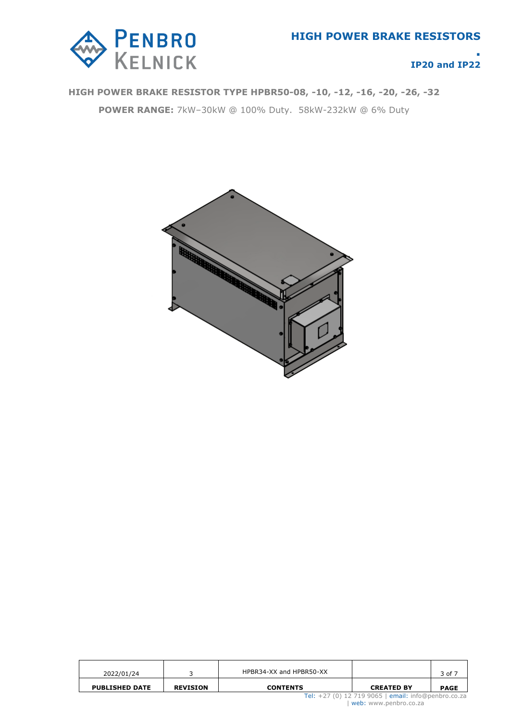

# **HIGH POWER BRAKE RESISTOR TYPE HPBR50-08, -10, -12, -16, -20, -26, -32**

**POWER RANGE:** 7kW–30kW @ 100% Duty. 58kW-232kW @ 6% Duty



| 2022/01/24            |                 | HPBR34-XX and HPBR50-XX |                                                                              | 3 of 7      |
|-----------------------|-----------------|-------------------------|------------------------------------------------------------------------------|-------------|
| <b>PUBLISHED DATE</b> | <b>REVISION</b> | <b>CONTENTS</b>         | <b>CREATED BY</b>                                                            | <b>PAGE</b> |
|                       |                 |                         | Tel: +27 (0) 12 719 9065   email: info@penbro.co.za<br>web: www.penbro.co.za |             |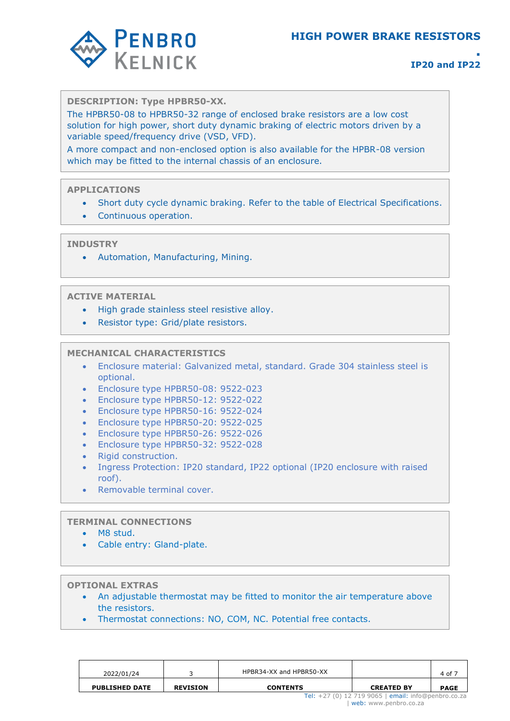# **HIGH POWER BRAKE RESISTORS**



# **. IP20 and IP22**

#### **DESCRIPTION: Type HPBR50-XX.**

The HPBR50-08 to HPBR50-32 range of enclosed brake resistors are a low cost solution for high power, short duty dynamic braking of electric motors driven by a variable speed/frequency drive (VSD, VFD).

A more compact and non-enclosed option is also available for the HPBR-08 version which may be fitted to the internal chassis of an enclosure.

#### **APPLICATIONS**

- Short duty cycle dynamic braking. Refer to the table of Electrical Specifications.
- Continuous operation.

#### **INDUSTRY**

• Automation, Manufacturing, Mining.

#### **ACTIVE MATERIAL**

- High grade stainless steel resistive alloy.
- Resistor type: Grid/plate resistors.

#### **MECHANICAL CHARACTERISTICS**

- Enclosure material: Galvanized metal, standard. Grade 304 stainless steel is optional.
- Enclosure type HPBR50-08: 9522-023
- Enclosure type HPBR50-12: 9522-022
- Enclosure type HPBR50-16: 9522-024
- Enclosure type HPBR50-20: 9522-025
- Enclosure type HPBR50-26: 9522-026
- Enclosure type HPBR50-32: 9522-028
- Rigid construction.
- Ingress Protection: IP20 standard, IP22 optional (IP20 enclosure with raised roof).
- Removable terminal cover.

#### **TERMINAL CONNECTIONS**

- M8 stud.
- Cable entry: Gland-plate.

**OPTIONAL EXTRAS**

- An adjustable thermostat may be fitted to monitor the air temperature above the resistors.
- Thermostat connections: NO, COM, NC. Potential free contacts.

| 2022/01/24            |                 | HPBR34-XX and HPBR50-XX                                                      |                   | 4 of 7      |  |  |
|-----------------------|-----------------|------------------------------------------------------------------------------|-------------------|-------------|--|--|
| <b>PUBLISHED DATE</b> | <b>REVISION</b> | <b>CONTENTS</b>                                                              | <b>CREATED BY</b> | <b>PAGE</b> |  |  |
|                       |                 | Tel: +27 (0) 12 719 9065   email: info@penbro.co.za<br>web: www.penbro.co.za |                   |             |  |  |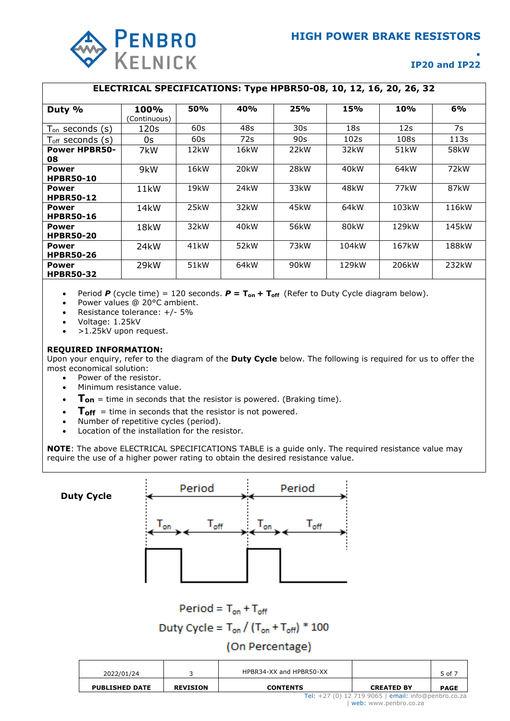

#### **ELECTRICAL SPECIFICATIONS: Type HPBR50-08, 10, 12, 16, 20, 26, 32**

| Duty %                       | 100%              | <b>50%</b>        | 40%               | 25%               | 15%   | <b>10%</b> | 6%                |
|------------------------------|-------------------|-------------------|-------------------|-------------------|-------|------------|-------------------|
|                              | (Continuous)      |                   |                   |                   |       |            |                   |
| $T_{on}$ seconds (s)         | 120s              | 60s               | 48s               | 30s               | 18s   | 12s        | 7s                |
| $T_{\text{off}}$ seconds (s) | 0s                | 60s               | 72s               | 90s               | 102s  | 108s       | 113s              |
| <b>Power HPBR50-</b>         | 7kW               | 12 <sub>k</sub> W | 16kW              | 22 <sub>k</sub> W | 32kW  | 51kW       | 58kW              |
| 08                           |                   |                   |                   |                   |       |            |                   |
| <b>Power</b>                 | 9kW               | 16kW              | 20 <sub>k</sub> W | 28kW              | 40kW  | 64kW       | 72kW              |
| <b>HPBR50-10</b>             |                   |                   |                   |                   |       |            |                   |
| <b>Power</b>                 | 11 <sub>k</sub> W | 19kW              | 24 <sub>k</sub> W | 33kW              | 48kW  | 77kW       | 87 <sub>k</sub> W |
| <b>HPBR50-12</b>             |                   |                   |                   |                   |       |            |                   |
| <b>Power</b>                 | 14 <sub>k</sub> W | 25kW              | 32kW              | 45kW              | 64kW  | 103kW      | 116kW             |
| <b>HPBR50-16</b>             |                   |                   |                   |                   |       |            |                   |
| <b>Power</b>                 | 18kW              | 32kW              | 40kW              | 56kW              | 80kW  | 129kW      | 145kW             |
| <b>HPBR50-20</b>             |                   |                   |                   |                   |       |            |                   |
| Power                        | 24 <sub>k</sub> W | 41 <sub>k</sub> w | 52kW              | 73kW              | 104kW | 167kW      | 188kW             |
| <b>HPBR50-26</b>             |                   |                   |                   |                   |       |            |                   |
| <b>Power</b>                 | 29kW              | 51 <sub>k</sub> W | 64kW              | 90 <sub>k</sub> w | 129kW | 206kW      | 232kW             |
| <b>HPBR50-32</b>             |                   |                   |                   |                   |       |            |                   |

• Period *P* (cycle time) = 120 seconds. *P* **= Ton + Toff** (Refer to Duty Cycle diagram below).

- Power values @ 20°C ambient.
- Resistance tolerance: +/- 5%
- Voltage: 1.25kV
- >1.25kV upon request.

#### **REQUIRED INFORMATION:**

Upon your enquiry, refer to the diagram of the **Duty Cycle** below. The following is required for us to offer the most economical solution:

- Power of the resistor.
- Minimum resistance value.
- **Ton** = time in seconds that the resistor is powered. (Braking time).
- **Toff** = time in seconds that the resistor is not powered.
- Number of repetitive cycles (period).
- Location of the installation for the resistor.

**NOTE**: The above ELECTRICAL SPECIFICATIONS TABLE is a guide only. The required resistance value may require the use of a higher power rating to obtain the desired resistance value.

Period Period **Duty Cycle** $\mathsf{T}_{\mathsf{off}}$  $T_{\mathsf{off}}$  $\mathsf{I}_{\mathsf{on}}$ 

Period =  $T_{on} + T_{off}$ 

Duty Cycle =  $T_{on} / (T_{on} + T_{off})$  \* 100

## (On Percentage)

| 2022/01/24                                          |                 | HPBR34-XX and HPBR50-XX |                   | 5 of 7      |  |
|-----------------------------------------------------|-----------------|-------------------------|-------------------|-------------|--|
| <b>PUBLISHED DATE</b>                               | <b>REVISION</b> | <b>CONTENTS</b>         | <b>CREATED BY</b> | <b>PAGE</b> |  |
| Tel: +27 (0) 12 719 9065   email: info@penbro.co.za |                 |                         |                   |             |  |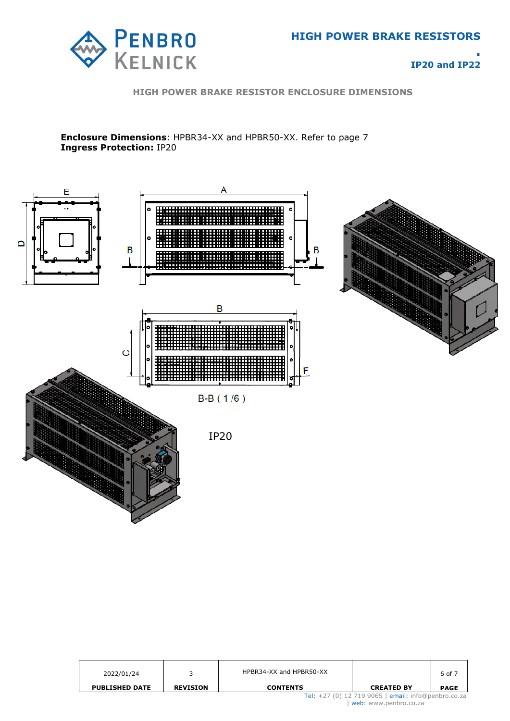

**HIGH POWER BRAKE RESISTOR ENCLOSURE DIMENSIONS**

**Enclosure Dimensions**: HPBR34-XX and HPBR50-XX. Refer to page 7 **Ingress Protection:** IP20



| 2022/01/24            |                 | HPBR34-XX and HPBR50-XX                                                      |                   | 6 of 7      |  |  |
|-----------------------|-----------------|------------------------------------------------------------------------------|-------------------|-------------|--|--|
| <b>PUBLISHED DATE</b> | <b>REVISION</b> | <b>CONTENTS</b>                                                              | <b>CREATED BY</b> | <b>PAGE</b> |  |  |
|                       |                 | Tel: +27 (0) 12 719 9065   email: info@penbro.co.za<br>web: www.penbro.co.za |                   |             |  |  |